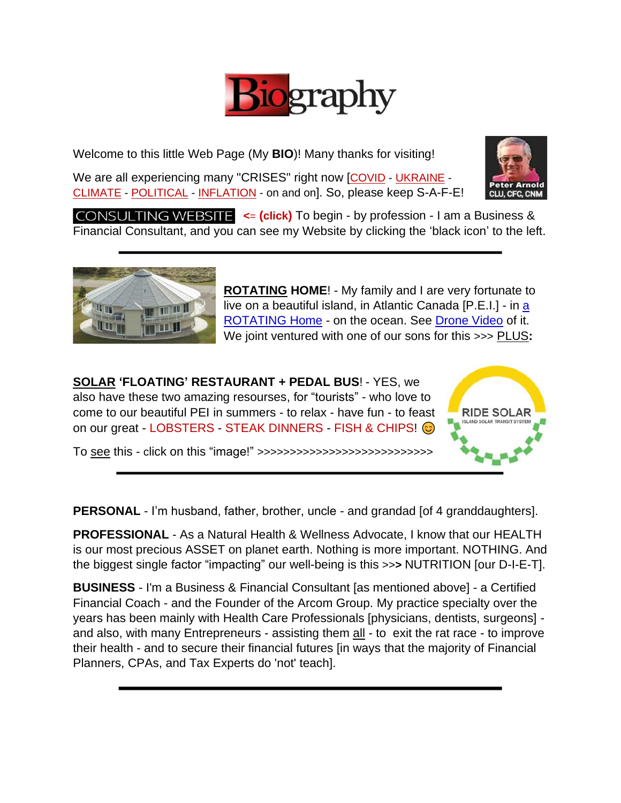

Welcome to this little Web Page (My **BIO**)! Many thanks for visiting!

We are all experiencing many "CRISES" right now [COVID - UKRAINE -CLIMATE - POLITICAL - INFLATION - on and on]. So, please keep S-A-F-E!



**CONSULTING WEBSITE**  $\leq$  (click) To begin - by profession - I am a Business & Financial Consultant, and you can see my Website by clicking the 'black icon' to the left.



**ROTATING HOME**! - My family and I are very fortunate to live on a beautiful island, in Atlantic Canada [P.E.I.] - in [a](http://www.aroundthesea.ca/)  [ROTATING Home](http://www.aroundthesea.ca/) - on the ocean. See [Drone Video](https://www.youtube.com/embed/dLRJ16GVVm4) of it. We joint ventured with one of our sons for this >>> PLUS**:**

**SOLAR 'FLOATING' RESTAURANT + PEDAL BUS**! - YES, we also have these two amazing resourses, for "tourists" - who love to come to our beautiful PEI in summers - to relax - have fun - to feast on our great - LOBSTERS - STEAK DINNERS - FISH & CHIPS! @

To see this - click on this "image!" >>>>>>>>>>>>>>>>>>>>>>>>>>>



**PERSONAL** - I'm husband, father, brother, uncle - and grandad [of 4 granddaughters].

**PROFESSIONAL** - As a Natural Health & Wellness Advocate, I know that our HEALTH is our most precious ASSET on planet earth. Nothing is more important. NOTHING. And the biggest single factor "impacting" our well-being is this >>**>** NUTRITION [our D-I-E-T].

**BUSINESS** - I'm a Business & Financial Consultant [as mentioned above] - a Certified Financial Coach - and the Founder of the Arcom Group. My practice specialty over the years has been mainly with Health Care Professionals [physicians, dentists, surgeons] and also, with many Entrepreneurs - assisting them all - to exit the rat race - to improve their health - and to secure their financial futures [in ways that the majority of Financial Planners, CPAs, and Tax Experts do 'not' teach].